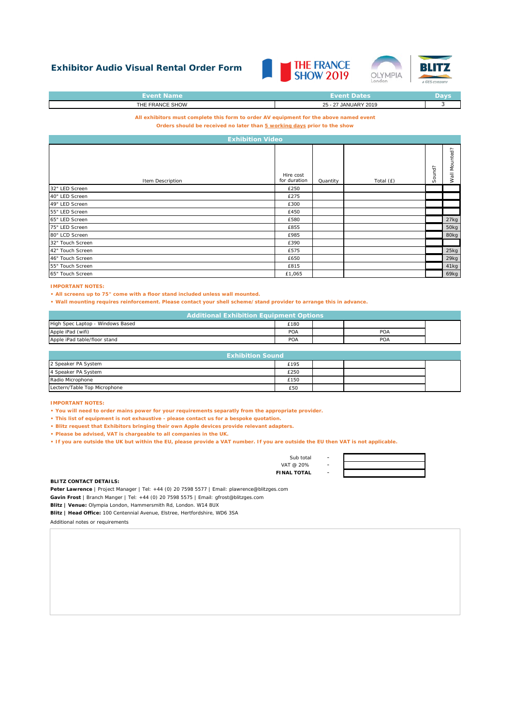## **Exhibitor Audio Visual Rental Order Form**





| <b>Event Name</b> | <b>Event Dates</b>   | Davs |
|-------------------|----------------------|------|
| THE FRANCE SHOW   | 25 - 27 JANUARY 2019 |      |
|                   |                      |      |

**All exhibitors must complete this form to order AV equipment for the above named event**

**Orders should be received no later than 5 working days prior to the show**

| <b>Exhibition Video</b> |                           |          |           |        |                      |
|-------------------------|---------------------------|----------|-----------|--------|----------------------|
| Item Description        | Hire cost<br>for duration | Quantity | Total (£) | Sound? | nted?<br>Nou<br>Wall |
| 32" LED Screen          | £250                      |          |           |        |                      |
| 40" LED Screen          | £275                      |          |           |        |                      |
| 49" LED Screen          | £300                      |          |           |        |                      |
| 55" LED Screen          | £450                      |          |           |        |                      |
| 65" LED Screen          | £580                      |          |           |        | 27kg                 |
| 75" LED Screen          | £855                      |          |           |        | 50kg                 |
| 80" LCD Screen          | £985                      |          |           |        | 80kg                 |
| 32" Touch Screen        | £390                      |          |           |        |                      |
| 42" Touch Screen        | £575                      |          |           |        | 25kg                 |
| 46" Touch Screen        | £650                      |          |           |        | 29kg                 |
| 55" Touch Screen        | £815                      |          |           |        | 41kg                 |
| 65" Touch Screen        | £1,065                    |          |           |        | 69kg                 |

## **IMPORTANT NOTES:**

**• All screens up to 75" come with a floor stand included unless wall mounted.**

**• Wall mounting requires reinforcement. Please contact your shell scheme/stand provider to arrange this in advance.**

| <b>Additional Exhibition Equipment Options</b> |      |  |     |  |
|------------------------------------------------|------|--|-----|--|
| High Spec Laptop - Windows Based               | £180 |  |     |  |
| Apple iPad (wifi)                              | POA  |  | POA |  |
| Apple iPad table/floor stand                   | POA  |  | POA |  |

| <b>Exhibition Sound</b>      |      |  |  |  |
|------------------------------|------|--|--|--|
| 2 Speaker PA System          | £195 |  |  |  |
| 4 Speaker PA System          | £250 |  |  |  |
| Radio Microphone             | £150 |  |  |  |
| Lectern/Table Top Microphone | £50  |  |  |  |

**IMPORTANT NOTES:** 

**• You will need to order mains power for your requirements separatly from the appropriate provider.**

**• This list of equipment is not exhaustive - please contact us for a bespoke quotation.**

**• Blitz request that Exhibitors bringing their own Apple devices provide relevant adapters.**

**• Please be advised, VAT is chargeable to all companies in the UK.**

**• If you are outside the UK but within the EU, please provide a VAT number. If you are outside the EU then VAT is not applicable.**

Sub total

- VAT  $@$  20%
- **FINAL TOTAL**



## **BLITZ CONTACT DETAILS:**

**Peter Lawrence** | Project Manager | Tel: +44 (0) 20 7598 5577 | Email: plawrence@blitzges.com

**Gavin Frost** | Branch Manger | Tel: +44 (0) 20 7598 5575 | Email: gfrost@blitzges.com

**Blitz | Venue:** Olympia London, Hammersmith Rd, London. W14 8UX

**Blitz | Head Office:** 100 Centennial Avenue, Elstree, Hertfordshire, WD6 3SA

Additional notes or requirements